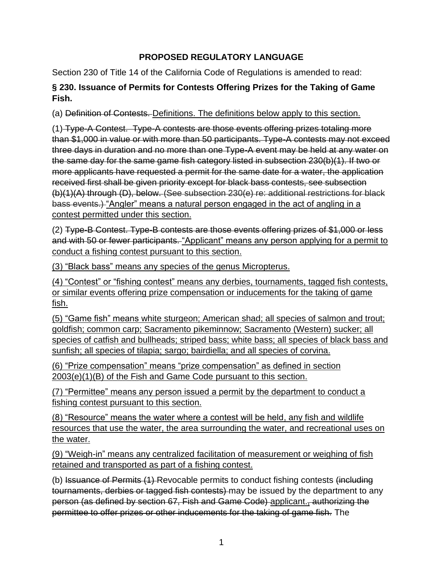## **PROPOSED REGULATORY LANGUAGE**

Section 230 of Title 14 of the California Code of Regulations is amended to read:

## **§ 230. Issuance of Permits for Contests Offering Prizes for the Taking of Game Fish.**

(a) Definition of Contests. Definitions. The definitions below apply to this section.

(1) Type-A Contest. Type-A contests are those events offering prizes totaling more than \$1,000 in value or with more than 50 participants. Type-A contests may not exceed three days in duration and no more than one Type-A event may be held at any water on the same day for the same game fish category listed in subsection 230(b)(1). If two or more applicants have requested a permit for the same date for a water, the application received first shall be given priority except for black bass contests, see subsection (b)(1)(A) through (D), below. (See subsection 230(e) re: additional restrictions for black bass events.) "Angler" means a natural person engaged in the act of angling in a contest permitted under this section.

(2) Type-B Contest. Type-B contests are those events offering prizes of \$1,000 or less and with 50 or fewer participants. "Applicant" means any person applying for a permit to conduct a fishing contest pursuant to this section.

(3) "Black bass" means any species of the genus Micropterus.

(4) "Contest" or "fishing contest" means any derbies, tournaments, tagged fish contests, or similar events offering prize compensation or inducements for the taking of game fish.

(5) "Game fish" means white sturgeon; American shad; all species of salmon and trout; goldfish; common carp; Sacramento pikeminnow; Sacramento (Western) sucker; all species of catfish and bullheads; striped bass; white bass; all species of black bass and sunfish; all species of tilapia; sargo; bairdiella; and all species of corvina.

(6) "Prize compensation" means "prize compensation" as defined in section 2003(e)(1)(B) of the Fish and Game Code pursuant to this section.

(7) "Permittee" means any person issued a permit by the department to conduct a fishing contest pursuant to this section.

(8) "Resource" means the water where a contest will be held, any fish and wildlife resources that use the water, the area surrounding the water, and recreational uses on the water.

(9) "Weigh-in" means any centralized facilitation of measurement or weighing of fish retained and transported as part of a fishing contest.

(b) Issuance of Permits (1) Revocable permits to conduct fishing contests (including tournaments, derbies or tagged fish contests) may be issued by the department to any person (as defined by section 67, Fish and Game Code) applicant., authorizing the permittee to offer prizes or other inducements for the taking of game fish. The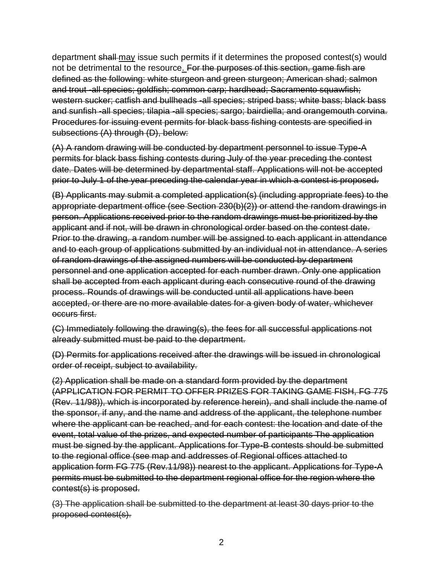department shall may issue such permits if it determines the proposed contest(s) would not be detrimental to the resource. For the purposes of this section, game fish are defined as the following: white sturgeon and green sturgeon; American shad; salmon and trout -all species; goldfish; common carp; hardhead; Sacramento squawfish; western sucker; catfish and bullheads -all species; striped bass; white bass; black bass and sunfish -all species; tilapia -all species; sargo; bairdiella; and orangemouth corvina. Procedures for issuing event permits for black bass fishing contests are specified in subsections (A) through (D), below:

(A) A random drawing will be conducted by department personnel to issue Type-A permits for black bass fishing contests during July of the year preceding the contest date. Dates will be determined by departmental staff. Applications will not be accepted prior to July 1 of the year preceding the calendar year in which a contest is proposed.

(B) Applicants may submit a completed application(s) (including appropriate fees) to the appropriate department office (see Section 230(b)(2)) or attend the random drawings in person. Applications received prior to the random drawings must be prioritized by the applicant and if not, will be drawn in chronological order based on the contest date. Prior to the drawing, a random number will be assigned to each applicant in attendance and to each group of applications submitted by an individual not in attendance. A series of random drawings of the assigned numbers will be conducted by department personnel and one application accepted for each number drawn. Only one application shall be accepted from each applicant during each consecutive round of the drawing process. Rounds of drawings will be conducted until all applications have been accepted, or there are no more available dates for a given body of water, whichever occurs first.

(C) Immediately following the drawing(s), the fees for all successful applications not already submitted must be paid to the department.

(D) Permits for applications received after the drawings will be issued in chronological order of receipt, subject to availability.

(2) Application shall be made on a standard form provided by the department (APPLICATION FOR PERMIT TO OFFER PRIZES FOR TAKING GAME FISH, FG 775 (Rev. 11/98)), which is incorporated by reference herein), and shall include the name of the sponsor, if any, and the name and address of the applicant, the telephone number where the applicant can be reached, and for each contest: the location and date of the event, total value of the prizes, and expected number of participants The application must be signed by the applicant. Applications for Type-B contests should be submitted to the regional office (see map and addresses of Regional offices attached to application form FG 775 (Rev.11/98)) nearest to the applicant. Applications for Type-A permits must be submitted to the department regional office for the region where the contest(s) is proposed.

(3) The application shall be submitted to the department at least 30 days prior to the proposed contest(s).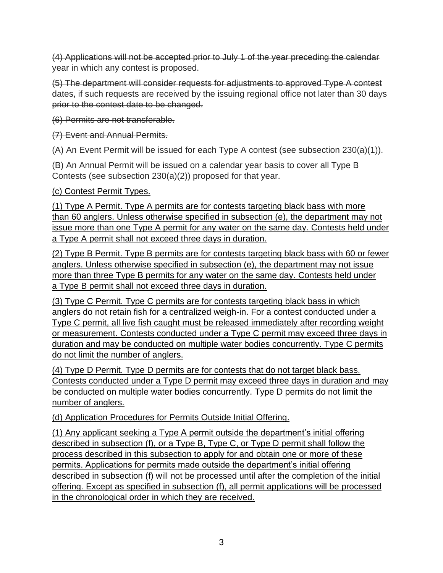(4) Applications will not be accepted prior to July 1 of the year preceding the calendar year in which any contest is proposed.

(5) The department will consider requests for adjustments to approved Type A contest dates, if such requests are received by the issuing regional office not later than 30 days prior to the contest date to be changed.

(6) Permits are not transferable.

(7) Event and Annual Permits.

(A) An Event Permit will be issued for each Type A contest (see subsection 230(a)(1)).

(B) An Annual Permit will be issued on a calendar year basis to cover all Type B Contests (see subsection 230(a)(2)) proposed for that year.

(c) Contest Permit Types.

(1) Type A Permit. Type A permits are for contests targeting black bass with more than 60 anglers. Unless otherwise specified in subsection (e), the department may not issue more than one Type A permit for any water on the same day. Contests held under a Type A permit shall not exceed three days in duration.

(2) Type B Permit. Type B permits are for contests targeting black bass with 60 or fewer anglers. Unless otherwise specified in subsection (e), the department may not issue more than three Type B permits for any water on the same day. Contests held under a Type B permit shall not exceed three days in duration.

(3) Type C Permit. Type C permits are for contests targeting black bass in which anglers do not retain fish for a centralized weigh-in. For a contest conducted under a Type C permit, all live fish caught must be released immediately after recording weight or measurement. Contests conducted under a Type C permit may exceed three days in duration and may be conducted on multiple water bodies concurrently. Type C permits do not limit the number of anglers.

(4) Type D Permit. Type D permits are for contests that do not target black bass. Contests conducted under a Type D permit may exceed three days in duration and may be conducted on multiple water bodies concurrently. Type D permits do not limit the number of anglers.

(d) Application Procedures for Permits Outside Initial Offering.

(1) Any applicant seeking a Type A permit outside the department's initial offering described in subsection (f), or a Type B, Type C, or Type D permit shall follow the process described in this subsection to apply for and obtain one or more of these permits. Applications for permits made outside the department's initial offering described in subsection (f) will not be processed until after the completion of the initial offering. Except as specified in subsection (f), all permit applications will be processed in the chronological order in which they are received.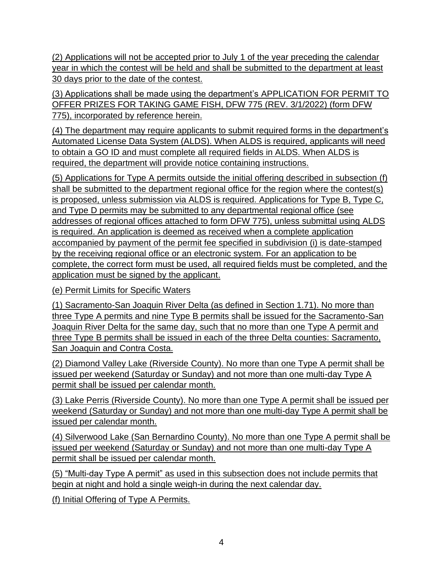(2) Applications will not be accepted prior to July 1 of the year preceding the calendar year in which the contest will be held and shall be submitted to the department at least 30 days prior to the date of the contest.

(3) Applications shall be made using the department's APPLICATION FOR PERMIT TO OFFER PRIZES FOR TAKING GAME FISH, DFW 775 (REV. 3/1/2022) (form DFW 775), incorporated by reference herein.

(4) The department may require applicants to submit required forms in the department's Automated License Data System (ALDS). When ALDS is required, applicants will need to obtain a GO ID and must complete all required fields in ALDS. When ALDS is required, the department will provide notice containing instructions.

(5) Applications for Type A permits outside the initial offering described in subsection (f) shall be submitted to the department regional office for the region where the contest(s) is proposed, unless submission via ALDS is required. Applications for Type B, Type C, and Type D permits may be submitted to any departmental regional office (see addresses of regional offices attached to form DFW 775), unless submittal using ALDS is required. An application is deemed as received when a complete application accompanied by payment of the permit fee specified in subdivision (i) is date-stamped by the receiving regional office or an electronic system. For an application to be complete, the correct form must be used, all required fields must be completed, and the application must be signed by the applicant.

(e) Permit Limits for Specific Waters

(1) Sacramento-San Joaquin River Delta (as defined in Section 1.71). No more than three Type A permits and nine Type B permits shall be issued for the Sacramento-San Joaquin River Delta for the same day, such that no more than one Type A permit and three Type B permits shall be issued in each of the three Delta counties: Sacramento, San Joaquin and Contra Costa.

(2) Diamond Valley Lake (Riverside County). No more than one Type A permit shall be issued per weekend (Saturday or Sunday) and not more than one multi-day Type A permit shall be issued per calendar month.

(3) Lake Perris (Riverside County). No more than one Type A permit shall be issued per weekend (Saturday or Sunday) and not more than one multi-day Type A permit shall be issued per calendar month.

(4) Silverwood Lake (San Bernardino County). No more than one Type A permit shall be issued per weekend (Saturday or Sunday) and not more than one multi-day Type A permit shall be issued per calendar month.

(5) "Multi-day Type A permit" as used in this subsection does not include permits that begin at night and hold a single weigh-in during the next calendar day.

(f) Initial Offering of Type A Permits.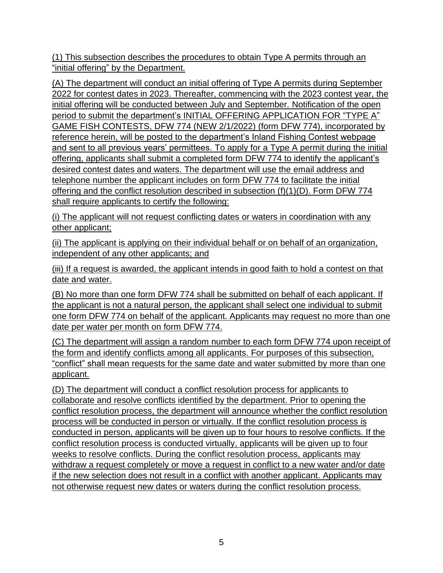(1) This subsection describes the procedures to obtain Type A permits through an "initial offering" by the Department.

(A) The department will conduct an initial offering of Type A permits during September 2022 for contest dates in 2023. Thereafter, commencing with the 2023 contest year, the initial offering will be conducted between July and September. Notification of the open period to submit the department's INITIAL OFFERING APPLICATION FOR "TYPE A" GAME FISH CONTESTS, DFW 774 (NEW 2/1/2022) (form DFW 774), incorporated by reference herein, will be posted to the department's Inland Fishing Contest webpage and sent to all previous years' permittees. To apply for a Type A permit during the initial offering, applicants shall submit a completed form DFW 774 to identify the applicant's desired contest dates and waters. The department will use the email address and telephone number the applicant includes on form DFW 774 to facilitate the initial offering and the conflict resolution described in subsection (f)(1)(D). Form DFW 774 shall require applicants to certify the following:

(i) The applicant will not request conflicting dates or waters in coordination with any other applicant;

(ii) The applicant is applying on their individual behalf or on behalf of an organization, independent of any other applicants; and

(iii) If a request is awarded, the applicant intends in good faith to hold a contest on that date and water.

(B) No more than one form DFW 774 shall be submitted on behalf of each applicant. If the applicant is not a natural person, the applicant shall select one individual to submit one form DFW 774 on behalf of the applicant. Applicants may request no more than one date per water per month on form DFW 774.

(C) The department will assign a random number to each form DFW 774 upon receipt of the form and identify conflicts among all applicants. For purposes of this subsection, "conflict" shall mean requests for the same date and water submitted by more than one applicant.

(D) The department will conduct a conflict resolution process for applicants to collaborate and resolve conflicts identified by the department. Prior to opening the conflict resolution process, the department will announce whether the conflict resolution process will be conducted in person or virtually. If the conflict resolution process is conducted in person, applicants will be given up to four hours to resolve conflicts. If the conflict resolution process is conducted virtually, applicants will be given up to four weeks to resolve conflicts. During the conflict resolution process, applicants may withdraw a request completely or move a request in conflict to a new water and/or date if the new selection does not result in a conflict with another applicant. Applicants may not otherwise request new dates or waters during the conflict resolution process.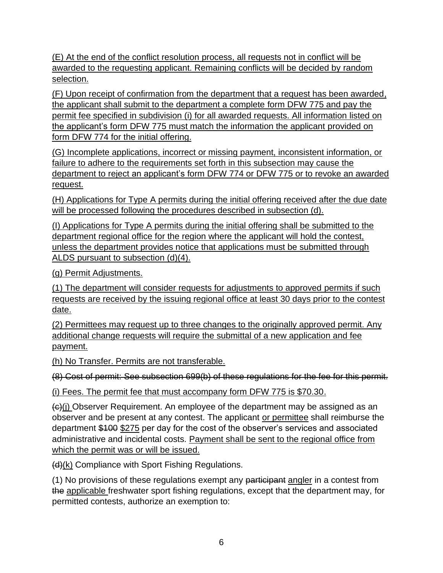(E) At the end of the conflict resolution process, all requests not in conflict will be awarded to the requesting applicant. Remaining conflicts will be decided by random selection.

(F) Upon receipt of confirmation from the department that a request has been awarded, the applicant shall submit to the department a complete form DFW 775 and pay the permit fee specified in subdivision (i) for all awarded requests. All information listed on the applicant's form DFW 775 must match the information the applicant provided on form DFW 774 for the initial offering.

(G) Incomplete applications, incorrect or missing payment, inconsistent information, or failure to adhere to the requirements set forth in this subsection may cause the department to reject an applicant's form DFW 774 or DFW 775 or to revoke an awarded request.

(H) Applications for Type A permits during the initial offering received after the due date will be processed following the procedures described in subsection (d).

(I) Applications for Type A permits during the initial offering shall be submitted to the department regional office for the region where the applicant will hold the contest, unless the department provides notice that applications must be submitted through ALDS pursuant to subsection (d)(4).

(g) Permit Adjustments.

(1) The department will consider requests for adjustments to approved permits if such requests are received by the issuing regional office at least 30 days prior to the contest date.

(2) Permittees may request up to three changes to the originally approved permit. Any additional change requests will require the submittal of a new application and fee payment.

(h) No Transfer. Permits are not transferable.

(8) Cost of permit: See subsection 699(b) of these regulations for the fee for this permit.

(i) Fees. The permit fee that must accompany form DFW 775 is \$70.30.

 $\left\langle \Theta_{0}(i)\right\rangle$  Observer Requirement. An employee of the department may be assigned as an observer and be present at any contest. The applicant or permittee shall reimburse the department \$100 \$275 per day for the cost of the observer's services and associated administrative and incidental costs. Payment shall be sent to the regional office from which the permit was or will be issued.

 $(d)(k)$  Compliance with Sport Fishing Regulations.

(1) No provisions of these regulations exempt any participant angler in a contest from the applicable freshwater sport fishing regulations, except that the department may, for permitted contests, authorize an exemption to: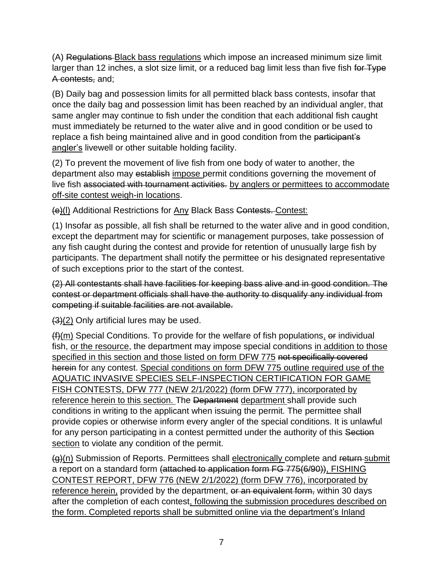(A) Regulations Black bass regulations which impose an increased minimum size limit larger than 12 inches, a slot size limit, or a reduced bag limit less than five fish for Type A contests, and;

(B) Daily bag and possession limits for all permitted black bass contests, insofar that once the daily bag and possession limit has been reached by an individual angler, that same angler may continue to fish under the condition that each additional fish caught must immediately be returned to the water alive and in good condition or be used to replace a fish being maintained alive and in good condition from the participant's angler's livewell or other suitable holding facility.

(2) To prevent the movement of live fish from one body of water to another, the department also may establish impose permit conditions governing the movement of live fish associated with tournament activities. by anglers or permittees to accommodate off-site contest weigh-in locations.

(e)(l) Additional Restrictions for Any Black Bass Contests. Contest:

(1) Insofar as possible, all fish shall be returned to the water alive and in good condition, except the department may for scientific or management purposes, take possession of any fish caught during the contest and provide for retention of unusually large fish by participants. The department shall notify the permittee or his designated representative of such exceptions prior to the start of the contest.

(2) All contestants shall have facilities for keeping bass alive and in good condition. The contest or department officials shall have the authority to disqualify any individual from competing if suitable facilities are not available.

 $(3)(2)$  Only artificial lures may be used.

 $(f)$ (m) Special Conditions. To provide for the welfare of fish populations,  $\Theta$  individual fish, or the resource, the department may impose special conditions in addition to those specified in this section and those listed on form DFW 775 not specifically covered herein for any contest. Special conditions on form DFW 775 outline required use of the AQUATIC INVASIVE SPECIES SELF-INSPECTION CERTIFICATION FOR GAME FISH CONTESTS, DFW 777 (NEW 2/1/2022) (form DFW 777), incorporated by reference herein to this section. The Department department shall provide such conditions in writing to the applicant when issuing the permit. The permittee shall provide copies or otherwise inform every angler of the special conditions. It is unlawful for any person participating in a contest permitted under the authority of this Section section to violate any condition of the permit.

(g)(n) Submission of Reports. Permittees shall electronically complete and return submit a report on a standard form (attached to application form FG 775(6/90)), FISHING CONTEST REPORT, DFW 776 (NEW 2/1/2022) (form DFW 776), incorporated by reference herein, provided by the department, or an equivalent form, within 30 days after the completion of each contest, following the submission procedures described on the form. Completed reports shall be submitted online via the department's Inland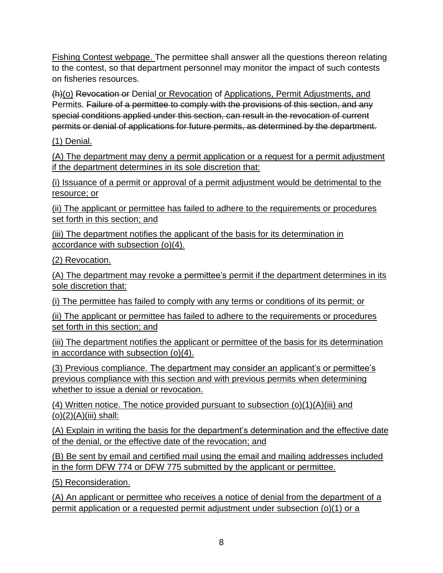Fishing Contest webpage. The permittee shall answer all the questions thereon relating to the contest, so that department personnel may monitor the impact of such contests on fisheries resources.

(h)(o) Revocation or Denial or Revocation of Applications, Permit Adjustments, and Permits. Failure of a permittee to comply with the provisions of this section, and any special conditions applied under this section, can result in the revocation of current permits or denial of applications for future permits, as determined by the department.

(1) Denial.

(A) The department may deny a permit application or a request for a permit adjustment if the department determines in its sole discretion that:

(i) Issuance of a permit or approval of a permit adjustment would be detrimental to the resource; or

(ii) The applicant or permittee has failed to adhere to the requirements or procedures set forth in this section; and

(iii) The department notifies the applicant of the basis for its determination in accordance with subsection (o)(4).

(2) Revocation.

(A) The department may revoke a permittee's permit if the department determines in its sole discretion that:

(i) The permittee has failed to comply with any terms or conditions of its permit; or

(ii) The applicant or permittee has failed to adhere to the requirements or procedures set forth in this section; and

(iii) The department notifies the applicant or permittee of the basis for its determination in accordance with subsection (o)(4).

(3) Previous compliance. The department may consider an applicant's or permittee's previous compliance with this section and with previous permits when determining whether to issue a denial or revocation.

(4) Written notice. The notice provided pursuant to subsection  $(o)(1)(A)(iii)$  and  $(o)(2)(A)(iii)$  shall:

(A) Explain in writing the basis for the department's determination and the effective date of the denial, or the effective date of the revocation; and

(B) Be sent by email and certified mail using the email and mailing addresses included in the form DFW 774 or DFW 775 submitted by the applicant or permittee.

(5) Reconsideration.

(A) An applicant or permittee who receives a notice of denial from the department of a permit application or a requested permit adjustment under subsection (o)(1) or a